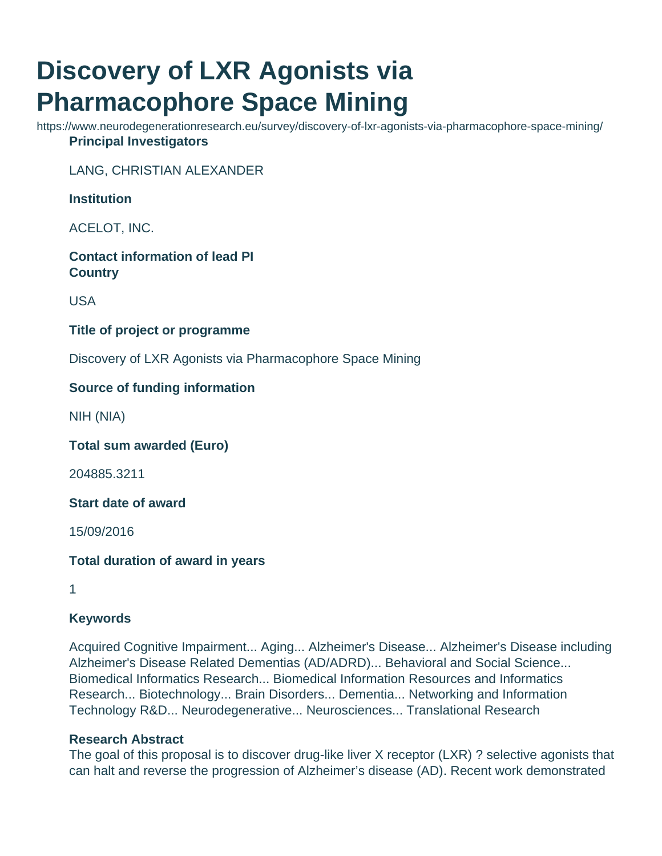# **Discovery of LXR Agonists via Pharmacophore Space Mining**

https://www.neurodegenerationresearch.eu/survey/discovery-of-lxr-agonists-via-pharmacophore-space-mining/ **Principal Investigators**

LANG, CHRISTIAN ALEXANDER

## **Institution**

ACELOT, INC.

**Contact information of lead PI Country**

USA

## **Title of project or programme**

Discovery of LXR Agonists via Pharmacophore Space Mining

# **Source of funding information**

NIH (NIA)

**Total sum awarded (Euro)**

204885.3211

**Start date of award**

15/09/2016

#### **Total duration of award in years**

1

# **Keywords**

Acquired Cognitive Impairment... Aging... Alzheimer's Disease... Alzheimer's Disease including Alzheimer's Disease Related Dementias (AD/ADRD)... Behavioral and Social Science... Biomedical Informatics Research... Biomedical Information Resources and Informatics Research... Biotechnology... Brain Disorders... Dementia... Networking and Information Technology R&D... Neurodegenerative... Neurosciences... Translational Research

#### **Research Abstract**

The goal of this proposal is to discover drug-like liver X receptor (LXR) ? selective agonists that can halt and reverse the progression of Alzheimer's disease (AD). Recent work demonstrated